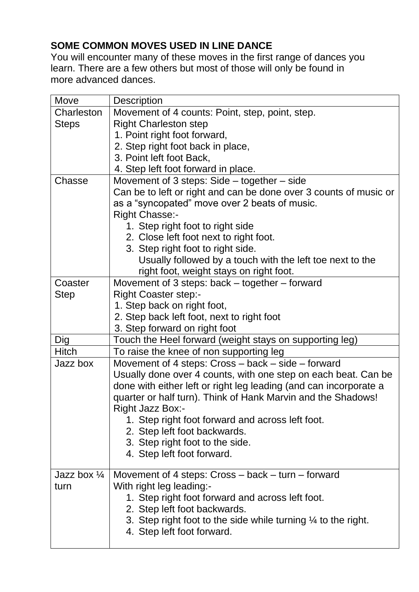## **SOME COMMON MOVES USED IN LINE DANCE**

You will encounter many of these moves in the first range of dances you learn. There are a few others but most of those will only be found in more advanced dances.

| Move                   | <b>Description</b>                                                       |
|------------------------|--------------------------------------------------------------------------|
| Charleston             | Movement of 4 counts: Point, step, point, step.                          |
| <b>Steps</b>           | <b>Right Charleston step</b>                                             |
|                        | 1. Point right foot forward,                                             |
|                        | 2. Step right foot back in place,                                        |
|                        | 3. Point left foot Back,                                                 |
|                        | 4. Step left foot forward in place.                                      |
| Chasse                 | Movement of 3 steps: Side – together – side                              |
|                        | Can be to left or right and can be done over 3 counts of music or        |
|                        | as a "syncopated" move over 2 beats of music.                            |
|                        | <b>Right Chasse:-</b>                                                    |
|                        | 1. Step right foot to right side                                         |
|                        | 2. Close left foot next to right foot.                                   |
|                        | 3. Step right foot to right side.                                        |
|                        | Usually followed by a touch with the left toe next to the                |
|                        | right foot, weight stays on right foot.                                  |
| Coaster                | Movement of 3 steps: back - together - forward                           |
| <b>Step</b>            | <b>Right Coaster step:-</b>                                              |
|                        | 1. Step back on right foot,                                              |
|                        | 2. Step back left foot, next to right foot                               |
|                        | 3. Step forward on right foot                                            |
| Dig                    | Touch the Heel forward (weight stays on supporting leg)                  |
| <b>Hitch</b>           | To raise the knee of non supporting leg                                  |
| Jazz box               | Movement of 4 steps: Cross - back - side - forward                       |
|                        | Usually done over 4 counts, with one step on each beat. Can be           |
|                        | done with either left or right leg leading (and can incorporate a        |
|                        | quarter or half turn). Think of Hank Marvin and the Shadows!             |
|                        | Right Jazz Box:-                                                         |
|                        | 1. Step right foot forward and across left foot.                         |
|                        | 2. Step left foot backwards.                                             |
|                        | 3. Step right foot to the side.                                          |
|                        | 4. Step left foot forward.                                               |
|                        |                                                                          |
| Jazz box $\frac{1}{4}$ | Movement of 4 steps: Cross - back - turn - forward                       |
| turn                   | With right leg leading:-                                                 |
|                        | 1. Step right foot forward and across left foot.                         |
|                        | 2. Step left foot backwards.                                             |
|                        | 3. Step right foot to the side while turning $\frac{1}{4}$ to the right. |
|                        | 4. Step left foot forward.                                               |
|                        |                                                                          |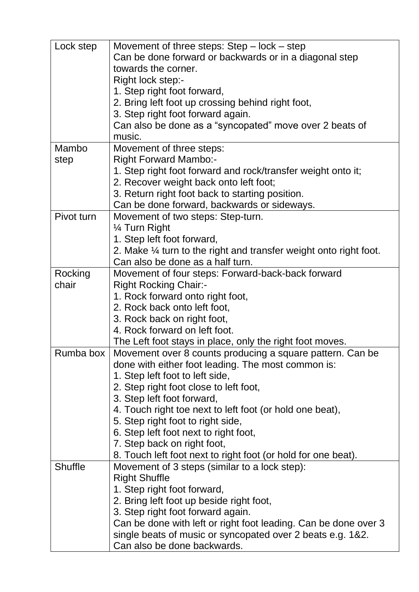| Lock step      | Movement of three steps: $Step - lock - step$                                 |
|----------------|-------------------------------------------------------------------------------|
|                | Can be done forward or backwards or in a diagonal step<br>towards the corner. |
|                | Right lock step:-                                                             |
|                | 1. Step right foot forward,                                                   |
|                | 2. Bring left foot up crossing behind right foot,                             |
|                | 3. Step right foot forward again.                                             |
|                | Can also be done as a "syncopated" move over 2 beats of                       |
|                | music.                                                                        |
| Mambo          | Movement of three steps:                                                      |
| step           | <b>Right Forward Mambo:-</b>                                                  |
|                | 1. Step right foot forward and rock/transfer weight onto it;                  |
|                | 2. Recover weight back onto left foot;                                        |
|                | 3. Return right foot back to starting position.                               |
|                | Can be done forward, backwards or sideways.                                   |
| Pivot turn     | Movement of two steps: Step-turn.                                             |
|                | 1⁄4 Turn Right                                                                |
|                | 1. Step left foot forward,                                                    |
|                | 2. Make $\frac{1}{4}$ turn to the right and transfer weight onto right foot.  |
|                | Can also be done as a half turn.                                              |
| Rocking        | Movement of four steps: Forward-back-back forward                             |
| chair          | <b>Right Rocking Chair:-</b>                                                  |
|                | 1. Rock forward onto right foot,                                              |
|                | 2. Rock back onto left foot,                                                  |
|                | 3. Rock back on right foot,                                                   |
|                | 4. Rock forward on left foot.                                                 |
|                | The Left foot stays in place, only the right foot moves.                      |
| Rumba box      | Movement over 8 counts producing a square pattern. Can be                     |
|                | done with either foot leading. The most common is:                            |
|                | 1. Step left foot to left side,                                               |
|                | 2. Step right foot close to left foot,                                        |
|                | 3. Step left foot forward,                                                    |
|                | 4. Touch right toe next to left foot (or hold one beat),                      |
|                | 5. Step right foot to right side,                                             |
|                | 6. Step left foot next to right foot,                                         |
|                | 7. Step back on right foot,                                                   |
| <b>Shuffle</b> | 8. Touch left foot next to right foot (or hold for one beat).                 |
|                | Movement of 3 steps (similar to a lock step):                                 |
|                | <b>Right Shuffle</b>                                                          |
|                | 1. Step right foot forward,                                                   |
|                | 2. Bring left foot up beside right foot,                                      |
|                | 3. Step right foot forward again.                                             |
|                | Can be done with left or right foot leading. Can be done over 3               |
|                | single beats of music or syncopated over 2 beats e.g. 1&2.                    |
|                | Can also be done backwards.                                                   |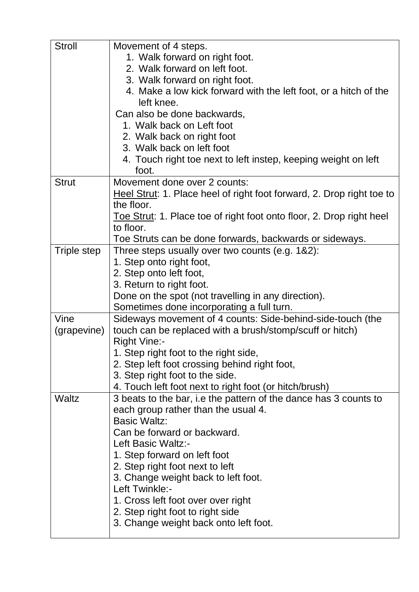| <b>Stroll</b> | Movement of 4 steps.                                                  |
|---------------|-----------------------------------------------------------------------|
|               | 1. Walk forward on right foot.                                        |
|               | 2. Walk forward on left foot.                                         |
|               | 3. Walk forward on right foot.                                        |
|               | 4. Make a low kick forward with the left foot, or a hitch of the      |
|               | left knee.                                                            |
|               | Can also be done backwards,                                           |
|               | 1. Walk back on Left foot                                             |
|               | 2. Walk back on right foot                                            |
|               | 3. Walk back on left foot                                             |
|               | 4. Touch right toe next to left instep, keeping weight on left        |
|               | foot.                                                                 |
| <b>Strut</b>  | Movement done over 2 counts:                                          |
|               | Heel Strut: 1. Place heel of right foot forward, 2. Drop right toe to |
|               | the floor.                                                            |
|               | Toe Strut: 1. Place toe of right foot onto floor, 2. Drop right heel  |
|               | to floor.                                                             |
|               | Toe Struts can be done forwards, backwards or sideways.               |
| Triple step   | Three steps usually over two counts (e.g. 1&2):                       |
|               | 1. Step onto right foot,                                              |
|               | 2. Step onto left foot,                                               |
|               | 3. Return to right foot.                                              |
|               | Done on the spot (not travelling in any direction).                   |
|               | Sometimes done incorporating a full turn.                             |
| Vine          | Sideways movement of 4 counts: Side-behind-side-touch (the            |
| (grapevine)   | touch can be replaced with a brush/stomp/scuff or hitch)              |
|               | <b>Right Vine:-</b>                                                   |
|               | 1. Step right foot to the right side,                                 |
|               | 2. Step left foot crossing behind right foot,                         |
|               | 3. Step right foot to the side.                                       |
|               | 4. Touch left foot next to right foot (or hitch/brush)                |
| <b>Waltz</b>  | 3 beats to the bar, i.e the pattern of the dance has 3 counts to      |
|               | each group rather than the usual 4.                                   |
|               | <b>Basic Waltz:</b>                                                   |
|               | Can be forward or backward.                                           |
|               | Left Basic Waltz:-                                                    |
|               | 1. Step forward on left foot                                          |
|               | 2. Step right foot next to left                                       |
|               | 3. Change weight back to left foot.                                   |
|               | Left Twinkle:-                                                        |
|               | 1. Cross left foot over over right                                    |
|               | 2. Step right foot to right side                                      |
|               | 3. Change weight back onto left foot.                                 |